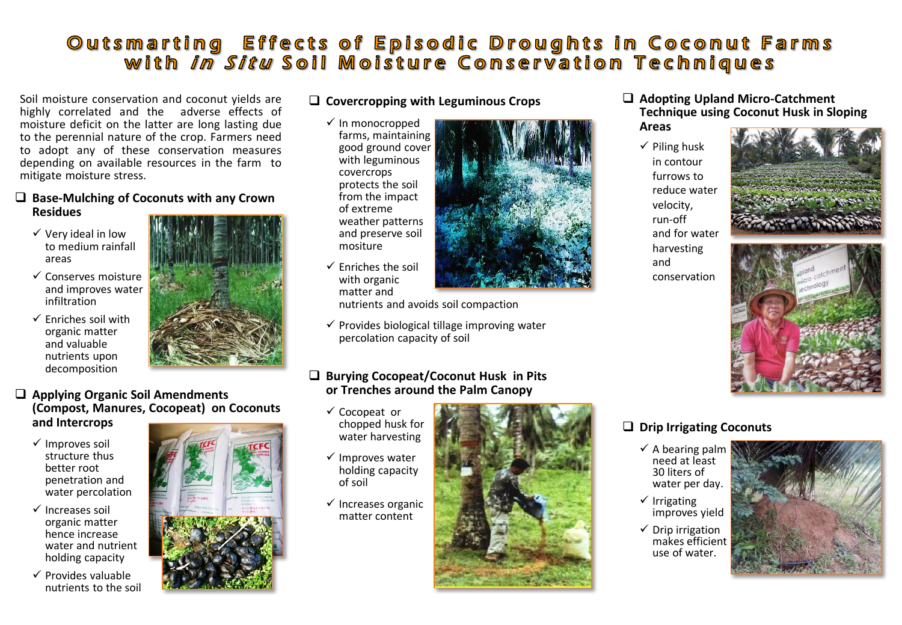# Outsmarting Effects of Episodic Droughts in Coconut Farms<br>with *in Situ* Soil Moisture Conservation Techniques

Soil moisture conservation and coconut yields are highly correlated and the adverse effects of moisture deficit on the latter are long lasting due to the perennial nature of the crop. Farmers need to adopt any of these conservation measures depending on available resources in the farm to mitigate moisture stress.

#### ❑ **Base-Mulching of Coconuts with any Crown Residues**

- ✓ Very ideal in low to medium rainfall areas
- ✓ Conserves moisture and improves water infiltration
- $\checkmark$  Enriches soil with organic matter and valuable nutrients upon decomposition



#### ❑ **Applying Organic Soil Amendments (Compost, Manures, Cocopeat) on Coconuts and Intercrops**

- ✓ Improves soil structure thus better root penetration and water percolation
- ✓ Increases soil organic matter hence increase water and nutrient holding capacity
- ✓ Provides valuable nutrients to the soil



#### ❑ **Covercropping with Leguminous Crops**

✓ In monocropped farms, maintaining good ground cover with leguminous covercrops protects the soil from the impact of extreme weather patterns and preserve soil mositure



 $\checkmark$  Enriches the soil with organic matter and

nutrients and avoids soil compaction

 $\checkmark$  Provides biological tillage improving water percolation capacity of soil

#### ❑ **Burying Cocopeat/Coconut Husk in Pits or Trenches around the Palm Canopy**

- ✓ Cocopeat or chopped husk for water harvesting
- ✓ Improves water holding capacity of soil
- $\checkmark$  Increases organic matter content



❑ **Adopting Upland Micro-Catchment Technique using Coconut Husk in Sloping Areas**

 $\checkmark$  Piling husk in contour furrows to reduce water velocity, run-off and for water harvesting and conservation





## ❑ **Drip Irrigating Coconuts**

- $\checkmark$  A bearing palm need at least 30 liters of water per day.
- ✓ Irrigating improves yield
- $\checkmark$  Drip irrigation makes efficient use of water.